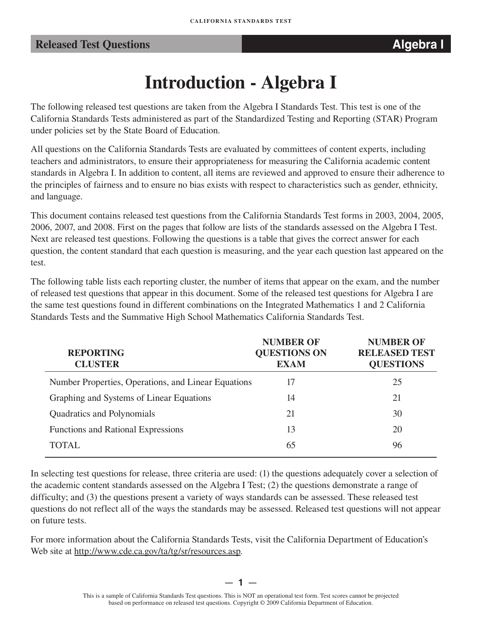## **Released Test Questions Algebra I**

# **Introduction - Algebra I**

The following released test questions are taken from the Algebra I Standards Test. This test is one of the California Standards Tests administered as part of the Standardized Testing and Reporting (STAR) Program under policies set by the State Board of Education.

All questions on the California Standards Tests are evaluated by committees of content experts, including teachers and administrators, to ensure their appropriateness for measuring the California academic content standards in Algebra I. In addition to content, all items are reviewed and approved to ensure their adherence to the principles of fairness and to ensure no bias exists with respect to characteristics such as gender, ethnicity, and language.

This document contains released test questions from the California Standards Test forms in 2003, 2004, 2005, 2006, 2007, and 2008. First on the pages that follow are lists of the standards assessed on the Algebra I Test. Next are released test questions. Following the questions is a table that gives the correct answer for each question, the content standard that each question is measuring, and the year each question last appeared on the test.

The following table lists each reporting cluster, the number of items that appear on the exam, and the number of released test questions that appear in this document. Some of the released test questions for Algebra I are the same test questions found in different combinations on the Integrated Mathematics 1 and 2 California Standards Tests and the Summative High School Mathematics California Standards Test.

| <b>REPORTING</b><br><b>CLUSTER</b>                  | <b>NUMBER OF</b><br><b>QUESTIONS ON</b><br><b>EXAM</b> | <b>NUMBER OF</b><br><b>RELEASED TEST</b><br><b>QUESTIONS</b> |
|-----------------------------------------------------|--------------------------------------------------------|--------------------------------------------------------------|
| Number Properties, Operations, and Linear Equations | 17                                                     | 25                                                           |
| Graphing and Systems of Linear Equations            | 14                                                     | 21                                                           |
| Quadratics and Polynomials                          | 21                                                     | 30                                                           |
| <b>Functions and Rational Expressions</b>           | 13                                                     | 20                                                           |
| TOTAL                                               | 65                                                     | 96                                                           |

In selecting test questions for release, three criteria are used: (1) the questions adequately cover a selection of the academic content standards assessed on the Algebra I Test; (2) the questions demonstrate a range of difficulty; and (3) the questions present a variety of ways standards can be assessed. These released test questions do not reflect all of the ways the standards may be assessed. Released test questions will not appear on future tests.

For more information about the California Standards Tests, visit the California Department of Education's Web site at http://www.cde.ca.gov/ta/tg/sr/resources.asp.

— **1** —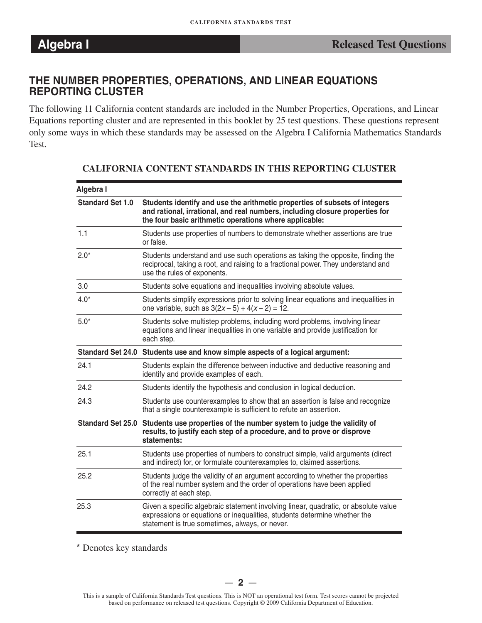### **THE NUMBER PROPERTIES, OPERATIONS, AND LINEAR EQUATIONS REPORTING CLUSTER**

The following 11 California content standards are included in the Number Properties, Operations, and Linear Equations reporting cluster and are represented in this booklet by 25 test questions. These questions represent only some ways in which these standards may be assessed on the Algebra I California Mathematics Standards Test.

| Algebra I               |                                                                                                                                                                                                                      |
|-------------------------|----------------------------------------------------------------------------------------------------------------------------------------------------------------------------------------------------------------------|
| <b>Standard Set 1.0</b> | Students identify and use the arithmetic properties of subsets of integers<br>and rational, irrational, and real numbers, including closure properties for<br>the four basic arithmetic operations where applicable: |
| 1.1                     | Students use properties of numbers to demonstrate whether assertions are true<br>or false.                                                                                                                           |
| $2.0*$                  | Students understand and use such operations as taking the opposite, finding the<br>reciprocal, taking a root, and raising to a fractional power. They understand and<br>use the rules of exponents.                  |
| 3.0                     | Students solve equations and inequalities involving absolute values.                                                                                                                                                 |
| $4.0*$                  | Students simplify expressions prior to solving linear equations and inequalities in<br>one variable, such as $3(2x-5) + 4(x-2) = 12$ .                                                                               |
| $5.0*$                  | Students solve multistep problems, including word problems, involving linear<br>equations and linear inequalities in one variable and provide justification for<br>each step.                                        |
|                         | Standard Set 24.0 Students use and know simple aspects of a logical argument:                                                                                                                                        |
| 24.1                    | Students explain the difference between inductive and deductive reasoning and<br>identify and provide examples of each.                                                                                              |
| 24.2                    | Students identify the hypothesis and conclusion in logical deduction.                                                                                                                                                |
| 24.3                    | Students use counterexamples to show that an assertion is false and recognize<br>that a single counterexample is sufficient to refute an assertion.                                                                  |
|                         | Standard Set 25.0 Students use properties of the number system to judge the validity of<br>results, to justify each step of a procedure, and to prove or disprove<br>statements:                                     |
| 25.1                    | Students use properties of numbers to construct simple, valid arguments (direct<br>and indirect) for, or formulate counterexamples to, claimed assertions.                                                           |
| 25.2                    | Students judge the validity of an argument according to whether the properties<br>of the real number system and the order of operations have been applied<br>correctly at each step.                                 |
| 25.3                    | Given a specific algebraic statement involving linear, quadratic, or absolute value<br>expressions or equations or inequalities, students determine whether the<br>statement is true sometimes, always, or never.    |

### **CALIFORNIA CONTENT STANDARDS IN THIS REPORTING CLUSTER**

\* Denotes key standards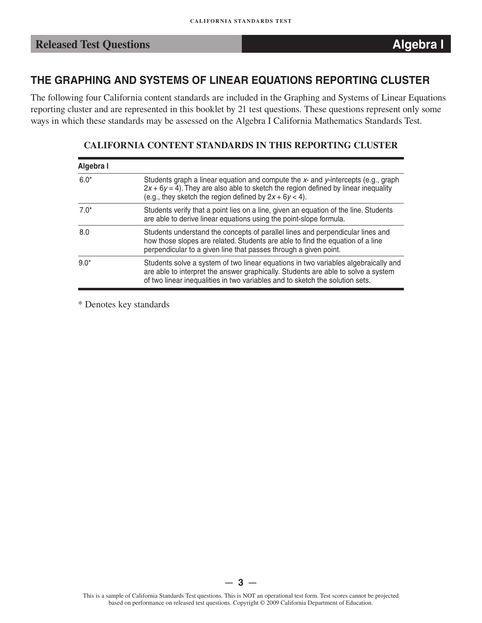## **THE GRAPHING AND SYSTEMS OF LINEAR EQUATIONS REPORTING CLUSTER**

The following four California content standards are included in the Graphing and Systems of Linear Equations reporting cluster and are represented in this booklet by 21 test questions. These questions represent only some ways in which these standards may be assessed on the Algebra I California Mathematics Standards Test.

| Algebra I |                                                                                                                                                                                                                                                         |
|-----------|---------------------------------------------------------------------------------------------------------------------------------------------------------------------------------------------------------------------------------------------------------|
| $6.0*$    | Students graph a linear equation and compute the $x$ - and $y$ -intercepts (e.g., graph<br>$2x + 6y = 4$ ). They are also able to sketch the region defined by linear inequality<br>(e.g., they sketch the region defined by $2x + 6y < 4$ ).           |
| $7.0*$    | Students verify that a point lies on a line, given an equation of the line. Students<br>are able to derive linear equations using the point-slope formula.                                                                                              |
| 8.0       | Students understand the concepts of parallel lines and perpendicular lines and<br>how those slopes are related. Students are able to find the equation of a line<br>perpendicular to a given line that passes through a given point.                    |
| $9.0*$    | Students solve a system of two linear equations in two variables algebraically and<br>are able to interpret the answer graphically. Students are able to solve a system<br>of two linear inequalities in two variables and to sketch the solution sets. |

### **CALIFORNIA CONTENT STANDARDS IN THIS REPORTING CLUSTER**

\* Denotes key standards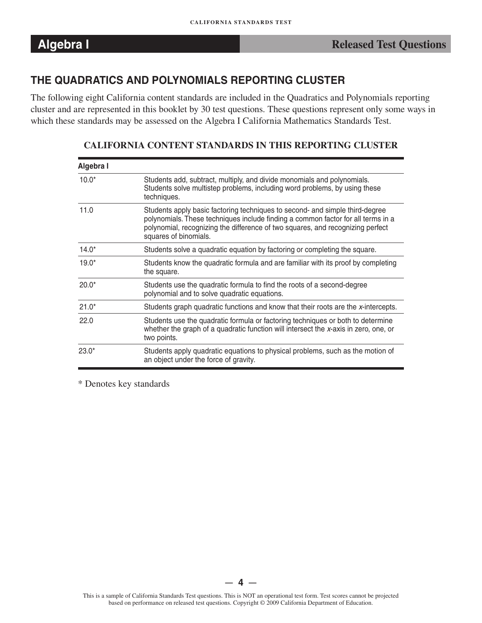## **THE QUADRATICS AND POLYNOMIALS REPORTING CLUSTER**

The following eight California content standards are included in the Quadratics and Polynomials reporting cluster and are represented in this booklet by 30 test questions. These questions represent only some ways in which these standards may be assessed on the Algebra I California Mathematics Standards Test.

| Algebra I |                                                                                                                                                                                                                                                                             |
|-----------|-----------------------------------------------------------------------------------------------------------------------------------------------------------------------------------------------------------------------------------------------------------------------------|
| $10.0*$   | Students add, subtract, multiply, and divide monomials and polynomials.<br>Students solve multistep problems, including word problems, by using these<br>techniques.                                                                                                        |
| 11.0      | Students apply basic factoring techniques to second- and simple third-degree<br>polynomials. These techniques include finding a common factor for all terms in a<br>polynomial, recognizing the difference of two squares, and recognizing perfect<br>squares of binomials. |
| $14.0*$   | Students solve a quadratic equation by factoring or completing the square.                                                                                                                                                                                                  |
| $19.0*$   | Students know the quadratic formula and are familiar with its proof by completing<br>the square.                                                                                                                                                                            |
| $20.0*$   | Students use the quadratic formula to find the roots of a second-degree<br>polynomial and to solve quadratic equations.                                                                                                                                                     |
| $21.0*$   | Students graph quadratic functions and know that their roots are the x-intercepts.                                                                                                                                                                                          |
| 22.0      | Students use the quadratic formula or factoring techniques or both to determine<br>whether the graph of a quadratic function will intersect the x-axis in zero, one, or<br>two points.                                                                                      |
| $23.0*$   | Students apply quadratic equations to physical problems, such as the motion of<br>an object under the force of gravity.                                                                                                                                                     |

**CALIFORNIA CONTENT STANDARDS IN THIS REPORTING CLUSTER** 

\* Denotes key standards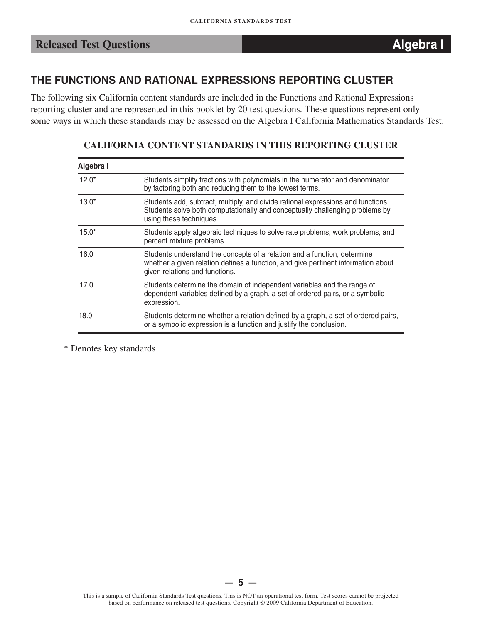## **THE FUNCTIONS AND RATIONAL EXPRESSIONS REPORTING CLUSTER**

The following six California content standards are included in the Functions and Rational Expressions reporting cluster and are represented in this booklet by 20 test questions. These questions represent only some ways in which these standards may be assessed on the Algebra I California Mathematics Standards Test.

| Algebra I |                                                                                                                                                                                                 |
|-----------|-------------------------------------------------------------------------------------------------------------------------------------------------------------------------------------------------|
| $12.0*$   | Students simplify fractions with polynomials in the numerator and denominator<br>by factoring both and reducing them to the lowest terms.                                                       |
| $13.0*$   | Students add, subtract, multiply, and divide rational expressions and functions.<br>Students solve both computationally and conceptually challenging problems by<br>using these techniques.     |
| $15.0*$   | Students apply algebraic techniques to solve rate problems, work problems, and<br>percent mixture problems.                                                                                     |
| 16.0      | Students understand the concepts of a relation and a function, determine<br>whether a given relation defines a function, and give pertinent information about<br>given relations and functions. |
| 17.0      | Students determine the domain of independent variables and the range of<br>dependent variables defined by a graph, a set of ordered pairs, or a symbolic<br>expression.                         |
| 18.0      | Students determine whether a relation defined by a graph, a set of ordered pairs,<br>or a symbolic expression is a function and justify the conclusion.                                         |

### **CALIFORNIA CONTENT STANDARDS IN THIS REPORTING CLUSTER**

\* Denotes key standards

 $5 -$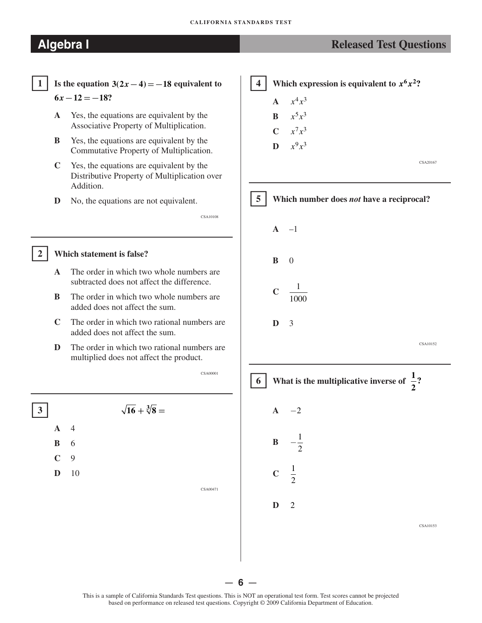# **Algebra I Released Test Questions Released Test Questions**

CSA20167



### �**<sup>2</sup> Which statement is false?**

- **A**  The order in which two whole numbers are subtracted does not affect the difference.
- **B** The order in which two whole numbers are added does not affect the sum.
- **C**  The order in which two rational numbers are added does not affect the sum.
- **D** The order in which two rational numbers are multiplied does not affect the product.

CSA00001







— **6** —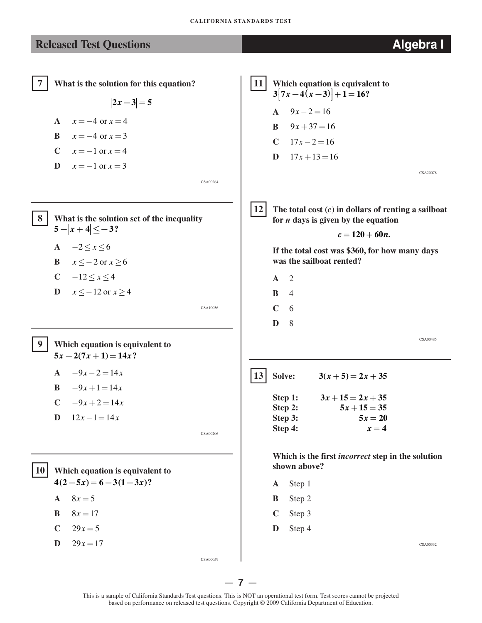CSA20078

CSA00485

CSA00332

### **Released Test Questions Algebra I**

 $\boxed{7}$  **7 What is the solution for this equation?**  $2x - 3 = 5$ **A**  $x = -4$  or  $x = 4$ **B**  $x = -4$  or  $x = 3$ **C**  $x = -1$  or  $x = 4$ **D**  $x = -1$  or  $x = 3$ CSA00264 �**8 What is the solution set of the inequality**   $5 - |x + 4| \leq -3$ ? **A** −2 ≤ *x* ≤ 6 **B**  $x \le -2$  or  $x \ge 6$ **C** −12 ≤  $x$  ≤ 4 **D**  $x \le -12$  or  $x \ge 4$ CSA10036 �**9 Which equation is equivalent to**   $5x - 2(7x + 1) = 14x$ ?  $A \quad -9x - 2 = 14x$ **B**  $-9x+1=14x$  $C \quad -9x + 2 = 14x$ **D**  $12x-1=14x$ CSA00206 �**10 Which equation is equivalent to**   $4(2-5x) = 6-3(1-3x)$ ? **A**  $8x = 5$ **B**  $8x = 17$ **C**  $29x = 5$  $D = 29x = 17$ **11** Which equation is equivalent to  $3[7x-4(x-3)]+1=16$ ?  $A = 9x - 2 = 16$ **B**  $9x + 37 = 16$ **C**  $17x - 2 = 16$ **D**  $17x + 13 = 16$ �**12 The total cost (***c***) in dollars of renting a sailboat for** *n* **days is given by the equation**  $c = 120 + 60n$ . **If the total cost was \$360, for how many days was the sailboat rented? A** 2 **B** 4 **C** 6 **D** 8  $3(x+5) = 2x + 35$ Step 1:  $3x + 15 = 2x + 35$ Step 2:  $5x + 15 = 35$ Step 3:  $5x = 20$ Step 4:  $x = 4$ **Which is the first** *incorrect* **step in the solution shown above? A** Step 1 **B** Step 2 **C** Step 3 **D** Step 4

CSA00059

— **7** —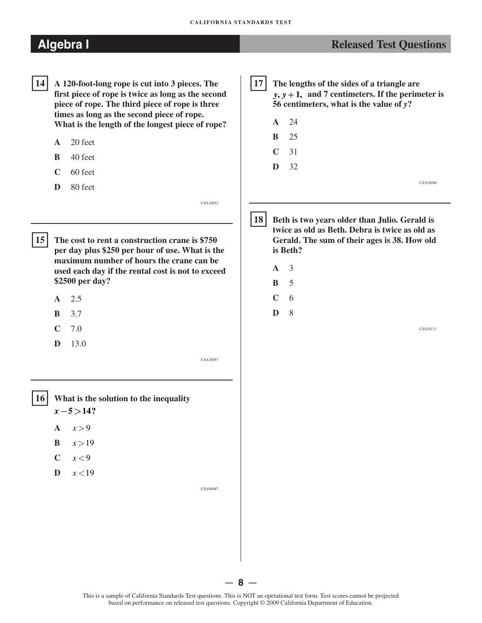- 14 **14 A 120-foot-long rope is cut into 3 pieces. The first piece of rope is twice as long as the second piece of rope. The third piece of rope is three times as long as the second piece of rope. What is the length of the longest piece of rope?** 
	- **A** 20 feet
	- **B** 40 feet
	- **C** 60 feet
	- **D** 80 feet
- $15$ **15 The cost to rent a construction crane is \$750 per day plus \$250 per hour of use. What is the maximum number of hours the crane can be used each day if the rental cost is not to exceed \$2500 per day?** 
	- **A** 2.5
	- **B** 3.7
	- **C** 7.0
	- **D** 13.0

CSA10057

- 17 **17 The lengths of the sides of a triangle are**   $y, y+1$ , and 7 centimeters. If the perimeter is **56 centimeters, what is the value of** *y***? A** 24
	- **B** 25 **C** 31 **D** 32 CSA10046
	- **18 Beth is two years older than Julio. Gerald is twice as old as Beth. Debra is twice as old as Gerald. The sum of their ages is 38. How old is Beth?** 
		-
		-
		-
		- **D**

CSA20171

- �**16 What is the solution to the inequality**   $x - 5 > 14?$ 
	- A  $x > 9$
	- **B**  $x > 19$
	- $C \quad x < 9$
	- $\mathbf{D} \quad x < 19$

CSA00487

- $18<sup>1</sup>$ CSA10052
	- **A** 3
	- **B** 5
	- $\overline{C}$ 6

8

— **8** —

**Algebra I** *Released Test Questions Released Test Questions*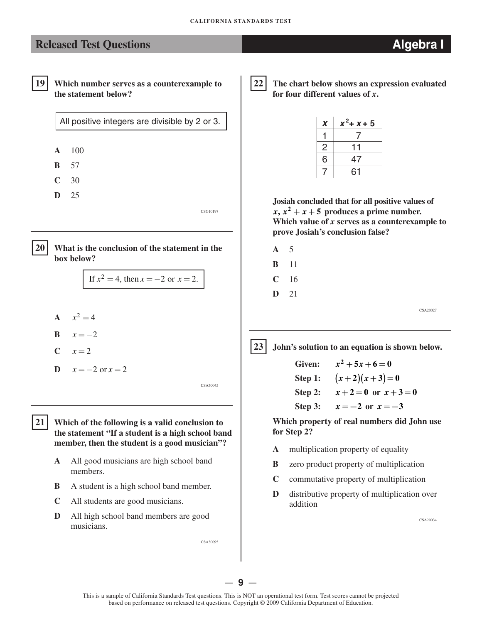## **Released Test Questions Algebra I**



19 Which number serves as a counterexample to 22 **the statement below?** 

All positive integers are divisible by 2 or 3.



**22 The chart below shows an expression evaluated for four different values of** *x***.** 

| X            | $x^2$ + $x$ + 5 |
|--------------|-----------------|
|              |                 |
| $\mathsf{S}$ |                 |
| 6            | 47              |
|              | 61              |

**Josiah concluded that for all positive values of**   $x, x<sup>2</sup> + x + 5$  produces a prime number. **Which value of** *x* **serves as a counterexample to prove Josiah's conclusion false?** 

- **A** 5
- **B** 11
- **C** 16
- **D** 21

CSA20027

**23** John's solution to an equation is shown below.

Given:  $x^2 + 5x + 6 = 0$ **Step 1:**  $(x+2)(x+3)=0$  $Step 2:$   $x+2=0$  or  $x+3=0$ Step 3:  $x = -2$  or  $x = -3$ 

**Which property of real numbers did John use for Step 2?** 

- **A** multiplication property of equality
- **B** zero product property of multiplication
- **C** commutative property of multiplication
- **D** distributive property of multiplication over addition

CSA20034



If  $x^2 = 4$ , then  $x = -2$  or  $x = 2$ .

**A**  $x^2 = 4$ 

**A** 100 **B** 57 **C** 30 **D** 25

- **B**  $x = -2$
- $C$   $x=2$
- **D**  $x = -2 \text{ or } x = 2$

CSA30045

CSG10197

�**21 Which of the following is a valid conclusion to the statement "If a student is a high school band member, then the student is a good musician"?** 

- **A** All good musicians are high school band members.
- **B** A student is a high school band member.
- **C** All students are good musicians.
- **D** All high school band members are good musicians.

CSA30095

— **9** —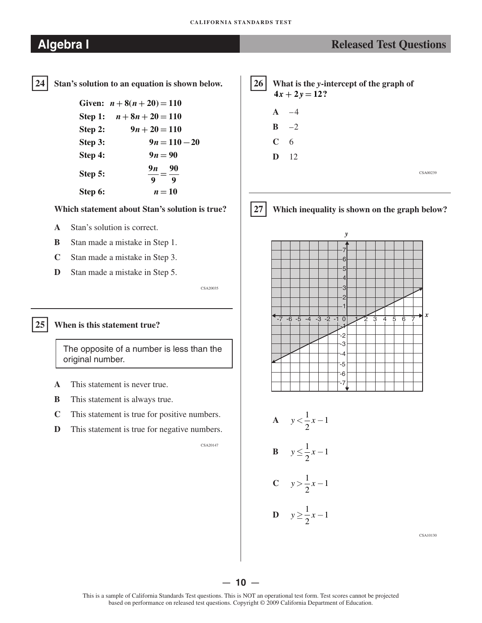## **Algebra I** *Released Test Questions Released Test Questions*

**24 Stan's solution to an equation is shown below.**  24

> Given:  $n+8(n+20) = 110$ **Step 1:**  $n+8n+20=110$ **Step 2:**  $9n + 20 = 110$ **Step 3:**  $9n = 110 - 20$ **Step 4:**  $9n = 90$ **Step 5:**  $\frac{9n}{9} = \frac{90}{9}$ **Step 6:**  $n = 10$

### **Which statement about Stan's solution is true?**

- **A** Stan's solution is correct.
- **B** Stan made a mistake in Step 1.
- **C** Stan made a mistake in Step 3.
- **D** Stan made a mistake in Step 5.

CSA20035

### �**25 When is this statement true?**

The opposite of a number is less than the original number.

- **A** This statement is never true.
- **B** This statement is always true.
- **C** This statement is true for positive numbers.
- **D** This statement is true for negative numbers.

CSA20147





�**27 Which inequality is shown on the graph below?** 





CSA10130

### — **10** —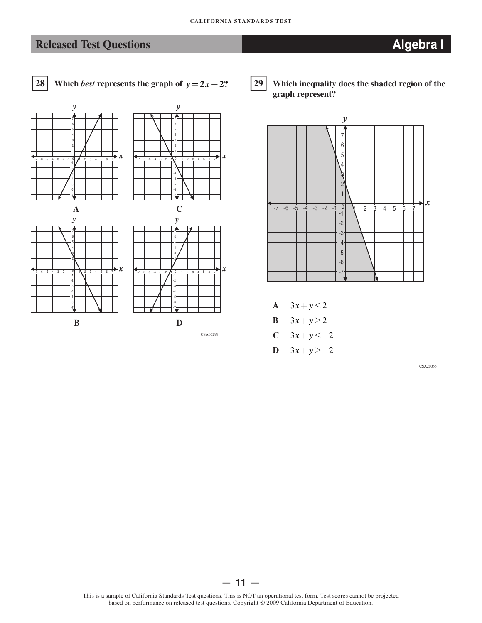

### �**29 Which inequality does the shaded region of the graph represent?**



- **A**  $3x + y \le 2$
- **B**  $3x + y \ge 2$
- **C**  $3x + y \le -2$
- **D**  $3x + y \ge -2$

CSA20055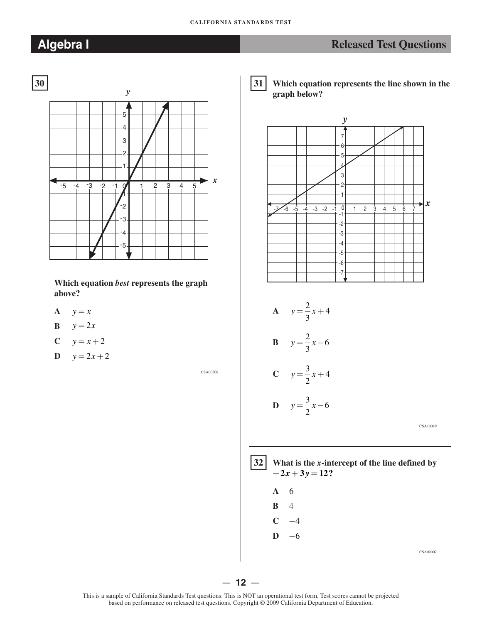### **CALIFORNIA STANDARDS TEST**



**Which equation** *best* **represents the graph above?**

- A  $y = x$
- $\mathbf{B}$   $y = 2x$

$$
C \qquad y = x + 2
$$

**D**  $y = 2x + 2$ 

CSA00508

# **Algebra I Released Test Questions Released Test Questions**

 $31$  **31 Which equation represents the line shown in the graph below?**





CSA00007

— **12** —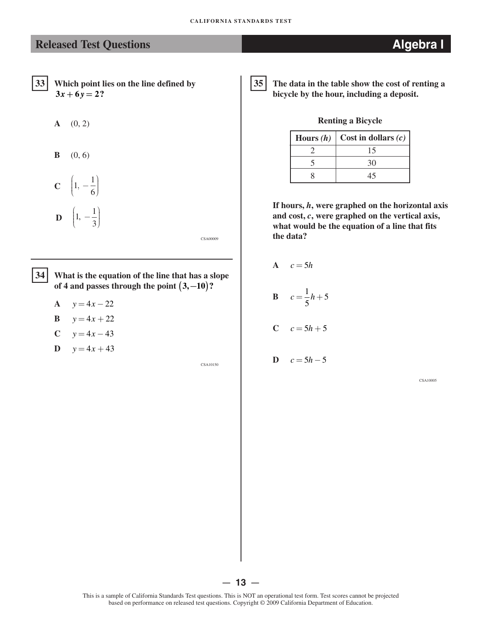### **Released Test Questions Algebra I**

- 33 **33 Which point lies on the line defined by**   $3x + 6y = 2?$ 
	- **A** (0, 2)
	- **B** (0, 6)
	- **C**  $\left(1, -\frac{1}{6}\right)$ **D**  $\left(1, -\frac{1}{3}\right)$

CSA00009

34 **34 What is the equation of the line that has a slope**  of 4 and passes through the point  $(3, -10)$ ?

- **A**  $y = 4x 22$
- **B**  $y = 4x + 22$
- $C$   $y = 4x 43$
- **D**  $y = 4x + 43$

CSA10150

35 **35 The data in the table show the cost of renting a bicycle by the hour, including a deposit.**

**Renting a Bicycle**

| Hours $(h)$ | $\vert$ Cost in dollars $(c)$ |
|-------------|-------------------------------|
|             | 15                            |
|             | 30                            |
|             | 45                            |

**If hours,** *h***, were graphed on the horizontal axis and cost,** *c***, were graphed on the vertical axis, what would be the equation of a line that fits the data?**

 $A \quad c = 5h$ **B**  $c = \frac{1}{b}h + 5$ 5

$$
C \quad c = 5h + 5
$$

**D**  $c = 5h - 5$ 

CSA10005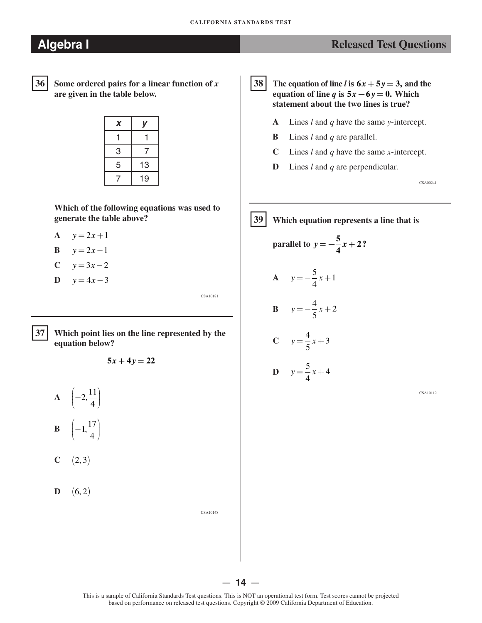## **Algebra I** *Released Test Questions*

36

**36 Some ordered pairs for a linear function of** *x*  **are given in the table below.** 

| X | y  |
|---|----|
|   |    |
| 3 | 7  |
| 5 | 13 |
|   | 19 |

**Which of the following equations was used to generate the table above?** 

- **A**  $y = 2x + 1$
- **B**  $y = 2x 1$
- $C$  *y* = 3*x* − 2
- **D**  $y = 4x 3$

37 **37 Which point lies on the line represented by the equation below?** 

 $5x + 4y = 22$ 

- **A**  $\left(-2, \frac{11}{4}\right)$  $\left(-1,\frac{17}{4}\right)$ **B** ⎜
- $C \t(2,3)$
- **D**  $(6, 2)$

CSA10148

CSA10181

38 The equation of line *l* is  $6x + 5y = 3$ , and the **equation of line** *q* is  $5x - 6y = 0$ . Which **statement about the two lines is true?** 

- **A** Lines *l* and *q* have the same *y*-intercept.
- **B** Lines *l* and *q* are parallel.
- **C** Lines *l* and *q* have the same *x*-intercept.
- **D** Lines *l* and *q* are perpendicular.

CSA00241

**39 39 Which equation represents a line that is** 

parallel to 
$$
y = -\frac{5}{4}x + 2
$$
?  
A  $y = -\frac{5}{4}x + 1$ 

$$
B \qquad y = -\frac{4}{5}x + 2
$$

C 
$$
y = \frac{4}{5}x + 3
$$
  
D  $y = \frac{5}{5}x + 4$ 

4

CSA10112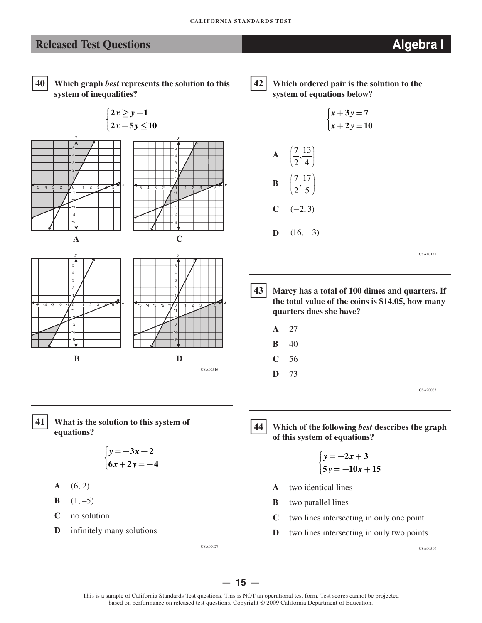## **Released Test Questions Algebra I**



 **40 Which graph** *best* **represents the solution to this system of inequalities?**



- **C** no solution
- **D** infinitely many solutions

CSA00027

42 **42 Which ordered pair is the solution to the system of equations below?** 

 $\begin{cases} x + 3y = 7 \\ x + 2y = 10 \end{cases}$ 



**D**  $(16,-3)$ 

CSA10131

- 43 **43 Marcy has a total of 100 dimes and quarters. If the total value of the coins is \$14.05, how many quarters does she have?**
	- **A** 27 **B** 40
	- **C** 56
	- **D** 73

CSA20083

44 **44 Which of the following** *best* **describes the graph of this system of equations?**

$$
\begin{cases}\ny = -2x + 3 \\
5y = -10x + 15\n\end{cases}
$$

- **A** two identical lines
- **B** two parallel lines
- **C** two lines intersecting in only one point
- **D** two lines intersecting in only two points

CSA00509

— **15** —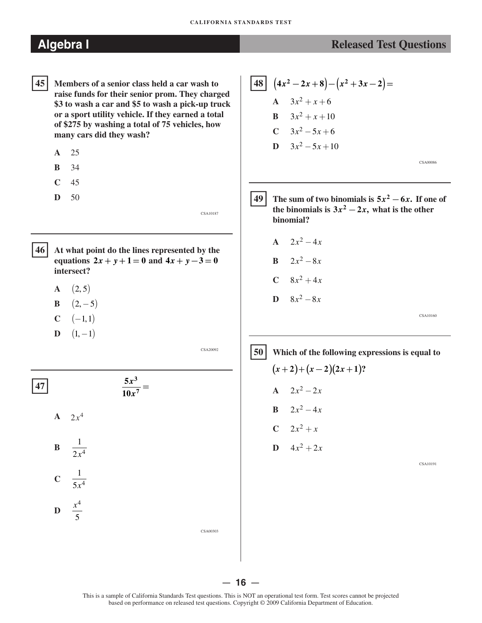- **45 Members of a senior class held a car wash to raise funds for their senior prom. They charged \$3 to wash a car and \$5 to wash a pick-up truck or a sport utility vehicle. If they earned a total of \$275 by washing a total of 75 vehicles, how many cars did they wash?**   $45|$ 
	- **A** 25
	- **B** 34
	- **C** 45
	- **D** 50

CSA10187

- **46 At what point do the lines represented by the equations**  $2x + y + 1 = 0$  and  $4x + y - 3 = 0$ **intersect?** 46
	- **A**  $(2,5)$
	- **B**  $(2, -5)$  $)$
	- $C \t(-1,1)$
	- **D**  $(1,-1)$

CSA20092

CSA00303

 $\frac{5x^3}{10x^7} =$ 

**A**  $2x^4$ 

1 **B**   $2x^4$ 

- $\frac{1}{5x^4}$ **C**
- $\mathbf{D} \quad \frac{x^4}{5}$ 5

 $(4x^2-2x+8)-(x^2+3x-2)=$ **A**  $3x^2 + x + 6$ **B**  $3x^2 + x + 10$ **C**  $3x^2 - 5x + 6$ **D**  $3x^2 - 5x + 10$ 

CSA00086

 $\bf 49$  **The sum of two binomials is**  $5x^2 - 6x$ **. If one of the binomials is**  $3x^2 - 2x$ **, what is the other binomial?** 

- $A = 2x^2 4x$
- **B**  $2x^2 8x$
- $C = 8x^2 + 4x$
- **D**  $8x^2 8x$

CSA10160

# �**<sup>50</sup> Which of the following expressions is equal to**   $(x+2)+(x-2)(2x+1)$ ? **A**  $2x^2 - 2x$ **B**  $2x^2 - 4x$  $C$  2*x*<sup>2</sup> + *x*  $\mathbf{D} \quad 4x^2 + 2x$

CSA10191

— **16** —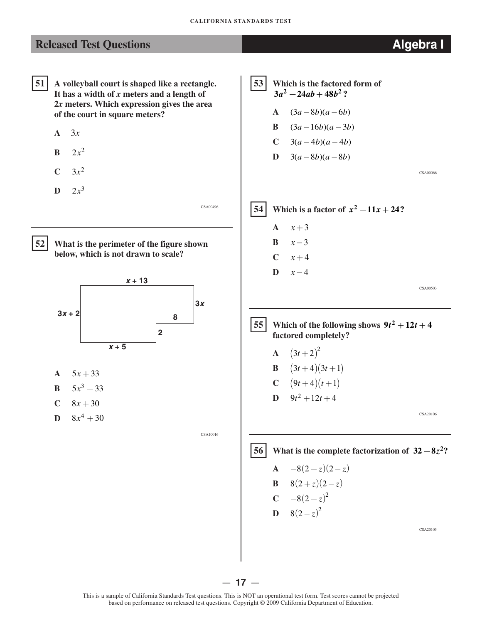## **Released Test Questions Algebra I**

- 51 **51 A volleyball court is shaped like a rectangle. It has a width of** *x* **meters and a length of 2***x* **meters. Which expression gives the area of the court in square meters?** 
	- **A** 3*x*
	- **B**  $2x^2$
	- $C \t 3x^2$
	- **D**  $2x^3$

CSA00496



**52 What is the perimeter of the figure shown below, which is not drawn to scale?** 



- A  $5x + 33$
- **B**  $5x^3 + 33$
- $C = 8x + 30$
- **D**  $8x^4 + 30$

CSA10016

53 **53 Which is the factored form of**   $3a^2 - 24ab + 48b^2$ ?

- **A**  $(3a 8b)(a 6b)$
- **B**  $(3a-16b)(a-3b)$
- **C**  $3(a-4b)(a-4b)$
- **D**  $3(a-8b)(a-8b)$

CSA00066



 $|55|$ **Which of the following shows**  $9t^2 + 12t + 4$ **factored completely?** 

**A** 
$$
(3t+2)^2
$$
  
\n**B**  $(3t+4)(3t+1)$   
\n**C**  $(9t+4)(t+1)$   
\n**D**  $9t^2 + 12t + 4$ 

CSA20106

56 **56 What is the complete factorization of**  $32 - 8z^2$ **?** 

**A** 
$$
-8(2+z)(2-z)
$$
  
\n**B**  $8(2+z)(2-z)$   
\n**C**  $-8(2+z)^2$ 

$$
D \quad 8(2-z)^2
$$

CSA20105

— **17** —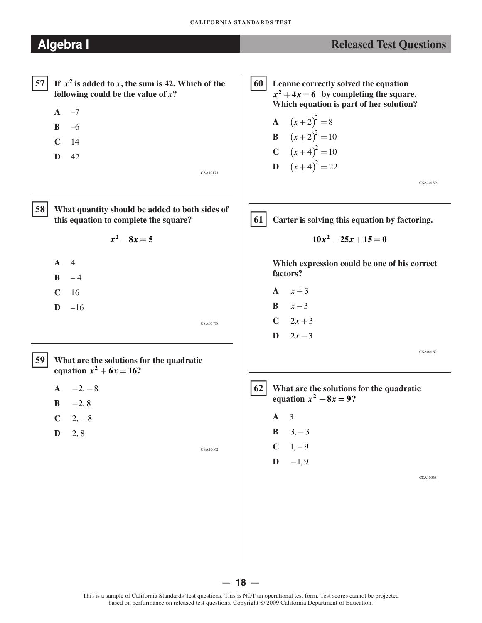- $A \quad -7$
- **B** –6
- **C** 14
- **D** 42

CSA10171

58

**58 What quantity should be added to both sides of this equation to complete the square?** 

 $x^2 - 8x = 5$ 

- **A** 4
- $B 4$
- **C** 16
- $D -16$

CSA00478

 $59$ 

**59 What are the solutions for the quadratic equation**  $x^2 + 6x = 16$ ?

- $A \t -2, -8$
- **B**  $-2, 8$
- $C = 2, -8$
- $D = 2, 8$

CSA10062

**60** Leanne correctly solved the equation  $x^2 + 4x = 6$  by completing the square. **Which equation is part of her solution?** 

**A** 
$$
(x+2)^2 = 8
$$
  
\n**B**  $(x+2)^2 = 10$   
\n**C**  $(x+4)^2 = 10$   
\n**D**  $(x+4)^2 = 22$ 

CSA20139

 $61$ Carter is solving this equation by factoring.

$$
10x^2 - 25x + 15 = 0
$$

**Which expression could be one of his correct factors?** 

- A  $x+3$ **B**  $x-3$
- $C = 2x + 3$
- **D**  $2x 3$

CSA00162



**62 What are the solutions for the quadratic equation**  $x^2 - 8x = 9$ ?

- **A** 3
	- **B**  $3, -3$
	- $C \t 1, -9$
	- **D**  $-1, 9$

CSA10063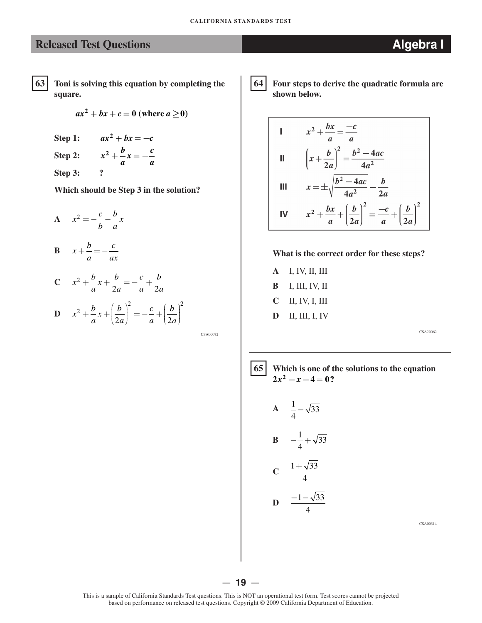**63** Toni is solving this equation by completing the **64 square.** 

$$
ax^2 + bx + c = 0
$$
 (where  $a \ge 0$ )

Step 1:  $ax^2 + bx = -c$ **Step 2:**  $x^2 + \frac{b}{a}x = -\frac{c}{a}$ **Step 3: ?** 

**Which should be Step 3 in the solution?** 

$$
A \quad x^2 = -\frac{c}{b} - \frac{b}{a}x
$$

**B**  $x + \frac{b}{-} = -\frac{c}{-}$ *a ax* 

C 
$$
x^2 + \frac{b}{a}x + \frac{b}{2a} = -\frac{c}{a} + \frac{b}{2a}
$$
  
D  $x^2 + \frac{b}{a}x + \left(\frac{b}{2a}\right)^2 = -\frac{c}{a} + \left(\frac{b}{2a}\right)^2$ 

CSA00072

```
64 Four steps to derive the quadratic formula are 
     shown below.
```
1 
$$
x^2 + \frac{bx}{a} = \frac{-c}{a}
$$
  
\nII  $\left(x + \frac{b}{2a}\right)^2 = \frac{b^2 - 4ac}{4a^2}$   
\nIII  $x = \pm \sqrt{\frac{b^2 - 4ac}{4a^2} - \frac{b}{2a}}$   
\nIV  $x^2 + \frac{bx}{a} + \left(\frac{b}{2a}\right)^2 = \frac{-c}{a} + \left(\frac{b}{2a}\right)^2$ 

### **What is the correct order for these steps?**

**A B C D**  I, IV, II, III I, III, IV, II II, IV, I, III II, III, I, IV

CSA20062

### �**65 Which is one of the solutions to the equation**   $2x^2 - x - 4 = 0?$

$$
A = \frac{1}{4} - \sqrt{33}
$$
  

$$
B = -\frac{1}{4} + \sqrt{33}
$$

$$
C \quad \frac{1+\sqrt{33}}{4}
$$

 $-1-\sqrt{33}$  **D**  4

CSA00314

— **19** —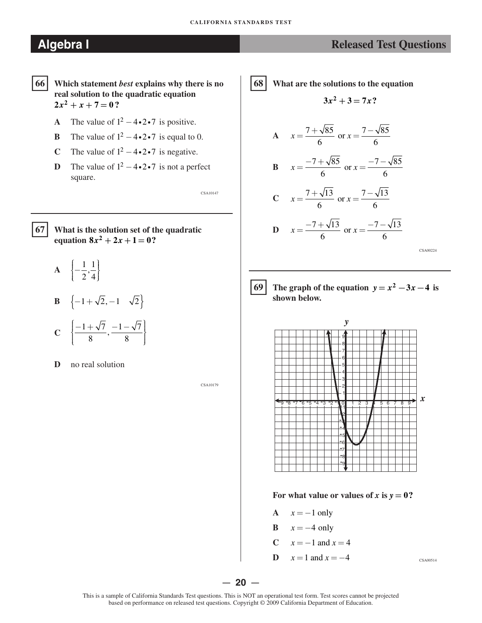- � **66 Which statement** *best* **explains why there is no real solution to the quadratic equation**   $2x^2 + x + 7 = 0$ ?
	- **A** The value of  $1^2 4 \cdot 2 \cdot 7$  is positive.
	- **B** The value of  $1^2 4 \cdot 2 \cdot 7$  is equal to 0.
	- **C** The value of  $1^2 4 \cdot 2 \cdot 7$  is negative.
	- **D** The value of  $1^2 4 \cdot 2 \cdot 7$  is not a perfect square.

 $67$ 

**67 What is the solution set of the quadratic equation**  $8x^2 + 2x + 1 = 0$ ?

- A  $\left\{-\frac{1}{2}, \frac{1}{4}\right\}$ **B**  $\{-1+\sqrt{2},-1 \quad \sqrt{2}\}\$
- $C \left\{ \frac{-1 + \sqrt{7}}{8}, \frac{-1 \sqrt{7}}{8} \right\}$
- **D** no real solution

CSA10179

CSA10147

68 **68 What are the solutions to the equation** 

$$
3x^2+3=7x?
$$

$$
A \quad x = \frac{7 + \sqrt{85}}{6} \text{ or } x = \frac{7 - \sqrt{85}}{6}
$$

$$
B \t x = \frac{-7 + \sqrt{85}}{6} \text{ or } x = \frac{-7 - \sqrt{85}}{6}
$$

$$
C \t x = \frac{7 + \sqrt{13}}{6} \text{ or } x = \frac{7 - \sqrt{13}}{6}
$$

$$
D \quad x = \frac{-7 + \sqrt{13}}{6} \text{ or } x = \frac{-7 - \sqrt{13}}{6}
$$

 $CS$ A00224



**6** The graph of the equation  $y = x^2 - 3x - 4$  is **shown below.** 



For what value or values of  $x$  is  $y = 0$ ?

- A  $x = -1$  only
- **B**  $x = -4$  only
- **C**  $x = -1$  and  $x = 4$
- **D**  $x = 1$  and  $x = -4$  CSA00514

— **20** —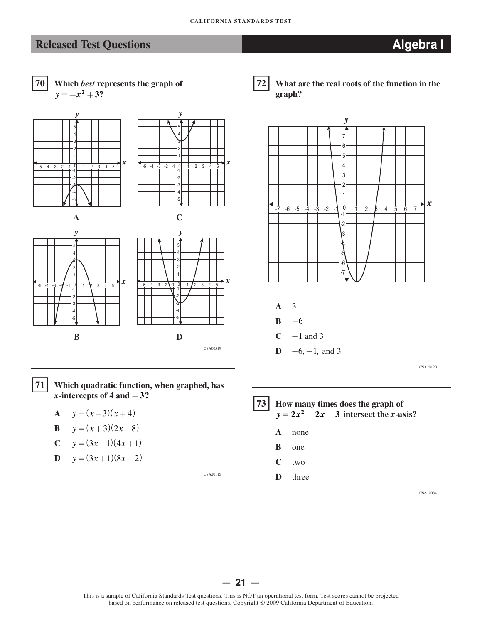

**B** 
$$
y=(x+3)(2x-8)
$$

$$
C \qquad y = (3x - 1)(4x + 1)
$$

$$
D \quad y = (3x+1)(8x-2)
$$

CSA20115







CSA10084

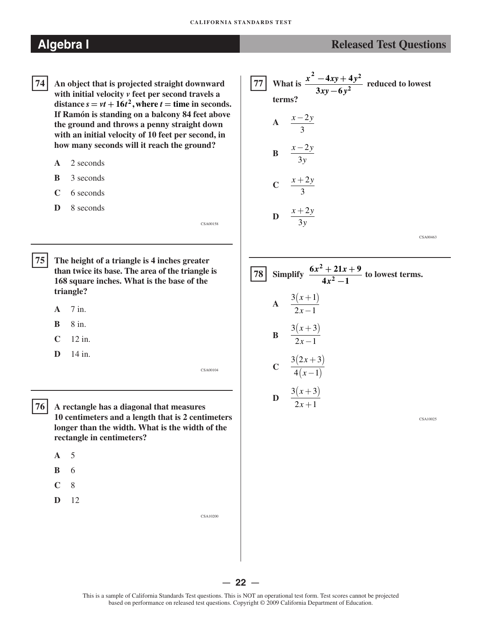- 74 **74 An object that is projected straight downward with initial velocity** *v* **feet per second travels a distance**  $s = vt + 16t^2$ , where  $t =$  **time** in seconds. **If Ramón is standing on a balcony 84 feet above the ground and throws a penny straight down with an initial velocity of 10 feet per second, in how many seconds will it reach the ground?** 
	- **A** 2 seconds
	- **B** 3 seconds
	- **C** 6 seconds
	- **D** 8 seconds

 $75$ **75 The height of a triangle is 4 inches greater than twice its base. The area of the triangle is 168 square inches. What is the base of the triangle?** 

- **A** 7 in.
- **B** 8 in.
- **C** 12 in.
- **D** 14 in.

CSA00104

CSA00158

76 **76 A rectangle has a diagonal that measures 10 centimeters and a length that is 2 centimeters longer than the width. What is the width of the rectangle in centimeters?** 

- **A** 5
- **B** 6
- $\mathbb{C}$ 8
- **D** 12

CSA10200

# $\boxed{77}$  What is  $\frac{x^2 - 4xy + 4y^2}{3xy - 6y^2}$  reduced to lowest **3***xy***−6** *y* **<sup>2</sup> terms?**  *<sup>x</sup>*−2*<sup>y</sup>* **<sup>A</sup>** 3 **B**  $\frac{x-2y}{3y}$  $\frac{x+2y}{2}$ 3 **D**  $\frac{x+2y}{3y}$

CSA00463

|  | 78 Simplify $\frac{6x^2 + 21x + 9}{4x^2 - 1}$ to lowest terms. |
|--|----------------------------------------------------------------|
|  | A $\frac{3(x+1)}{2x-1}$                                        |
|  | <b>B</b> $\frac{3(x+3)}{2x-1}$                                 |
|  | <b>C</b> $\frac{3(2x+3)}{4(x-1)}$                              |
|  | <b>D</b> $\frac{3(x+3)}{2x+1}$                                 |

CSA10025

### **Algebra I** *Released Test Questions Released Test Questions*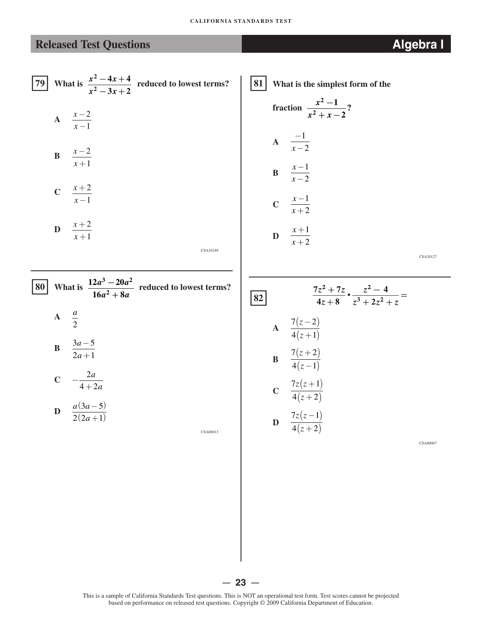[79] What is 
$$
\frac{x^2 - 4x + 4}{x^2 - 3x + 2}
$$
 reduced to lowest terms?  
A  $\frac{x-2}{x-1}$ 

- $\mathbf{B} = \frac{x-2}{x-2}$ *x* +1
- $c \frac{x+2}{x+2}$ *x* −1
- $\mathbf{D} \quad \frac{x+2}{4}$ *x* +1

CSA10189

|                 |        |  | <b>80</b> What is $\frac{12a^3 - 20a^2}{16a^2 + 8a}$ reduced to lowest terms? |
|-----------------|--------|--|-------------------------------------------------------------------------------|
| $A \frac{a}{a}$ |        |  |                                                                               |
|                 | $3a-5$ |  |                                                                               |

$$
C \quad -\frac{2a}{4+2a}
$$

 $2a + 1$ 

$$
D \quad \frac{a(3a-5)}{2(2a+1)}
$$

CSA00013

�**81 What is the simplest form of the**   $x^2 - 1$ 

fraction 
$$
\frac{x-1}{x^2 + x - 2}
$$
?  
A 
$$
\frac{-1}{x-2}
$$

B 
$$
\frac{x-1}{x-2}
$$
  
\nC 
$$
\frac{x-1}{x+2}
$$
  
\nD 
$$
\frac{x+1}{x+2}
$$

CSA20127

�**82** 7 ( *z* −2 ) **A**  4 ( *z* + 1) 7 ( *z* + 2 ) **B** 4 ( *z* −1) 7*z z*( +1 ) **C**  4 ( *z* + 2 ) 7*z z*( −1 ) **D** 4 ( *z* + 2 )

CSA00067

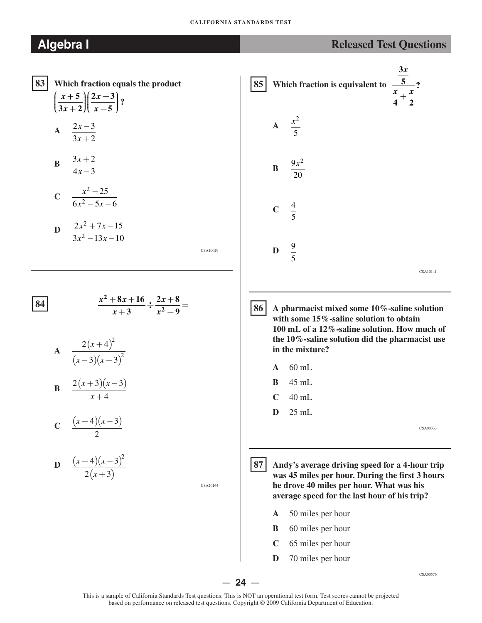### **CALIFORNIA STANDARDS TEST**

## **Algebra I**

|  | <b>Released Test Questions</b> |
|--|--------------------------------|
|  |                                |

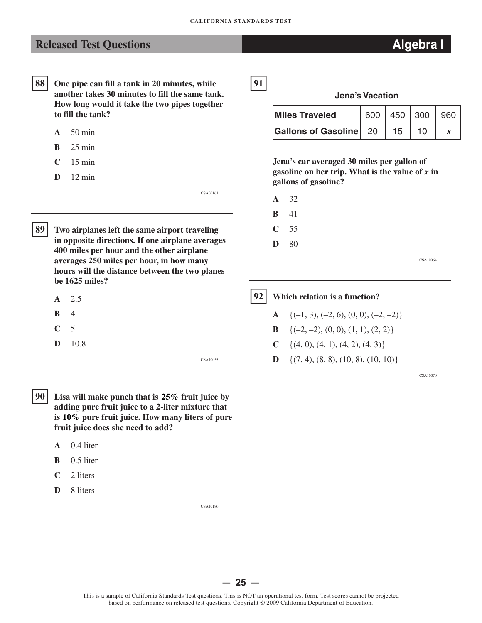� **91** 

## **Released Test Questions** *Algebra I* **<b>Algebra I**

- 88 **88 One pipe can fill a tank in 20 minutes, while another takes 30 minutes to fill the same tank. How long would it take the two pipes together to fill the tank?** 
	- **A** 50 min
	- **B** 25 min
	- **C** 15 min
	- **D** 12 min

89

**89 Two airplanes left the same airport traveling in opposite directions. If one airplane averages 400 miles per hour and the other airplane averages 250 miles per hour, in how many hours will the distance between the two planes be 1625 miles?** 

- **A** 2.5
- **B** 4
- **C** 5
- **D** 10.8

CSA10055

CSA00161

- $90<sup>1</sup>$ Lisa will make punch that is 25% fruit juice by **adding pure fruit juice to a 2-liter mixture that is 10% pure fruit juice. How many liters of pure fruit juice does she need to add?** 
	- **A** 0.4 liter
	- **B** 0.5 liter
	- **C** 2 liters
	- **D** 8 liters

CSA10186

**Jena's Vacation** 

| <b>Miles Traveled</b>         |      |    | 600   450   300   960 |
|-------------------------------|------|----|-----------------------|
| <b>Gallons of Gasoline</b> 20 | - 15 | 10 |                       |

**Jena's car averaged 30 miles per gallon of gasoline on her trip. What is the value of** *x* **in gallons of gasoline?** 

- **A** 32
- **B** 41

**C** 55

**D** 80

CSA10064

### $92$

**92 Which relation is a function?** 

- **A**  $\{(-1, 3), (-2, 6), (0, 0), (-2, -2)\}$
- **B**  $\{(-2, -2), (0, 0), (1, 1), (2, 2)\}$
- **C**  $\{(4, 0), (4, 1), (4, 2), (4, 3)\}$
- **D**  $\{(7, 4), (8, 8), (10, 8), (10, 10)\}$

CSA10070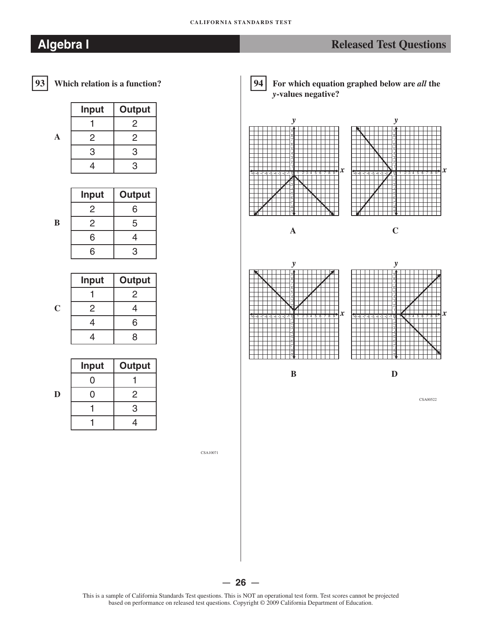**B** 

**C** 

|   | <b>Input</b> | <b>Output</b> |
|---|--------------|---------------|
|   |              | 2             |
| A | 2            | 2             |
|   | 3            | 3             |
|   |              | з             |

| <b>Input</b> | <b>Output</b> |
|--------------|---------------|
| 2            | հ             |
| 2            | 5             |
| 6            | 4             |
| հ            | ٩             |

| <b>Input</b> | <b>Output</b> |
|--------------|---------------|
|              | 2             |
| 2            | 4             |
| 4            | 6             |
|              | $\mathsf{R}$  |

|   | <b>Input</b> | Output |
|---|--------------|--------|
|   |              |        |
| D |              | 2      |
|   |              | 3      |
|   |              |        |

**94 For which equation graphed below are** *all* **the**  *y***-values negative?** 



CSA10071

This is a sample of California Standards Test questions. This is NOT an operational test form. Test scores cannot be projected based on performance on released test questions. Copyright © 2009 California Department of Education.

— **26** —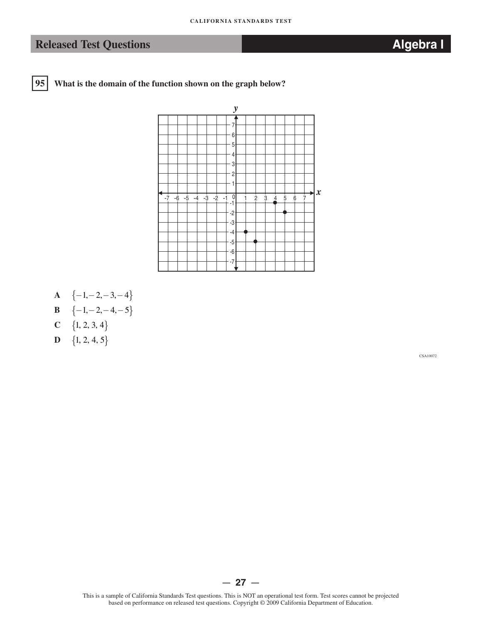$95$ **95 What is the domain of the function shown on the graph below?** 



- $\mathbf{A} \quad \{-1, -2, -3, -4\}$
- **B**   $\{-1, -2, -4, -5\}$
- **C**   $\{1, 2, 3, 4\}$
- **D**  $\{1, 2, 4, 5\}$

CSA10072

 $-27 -$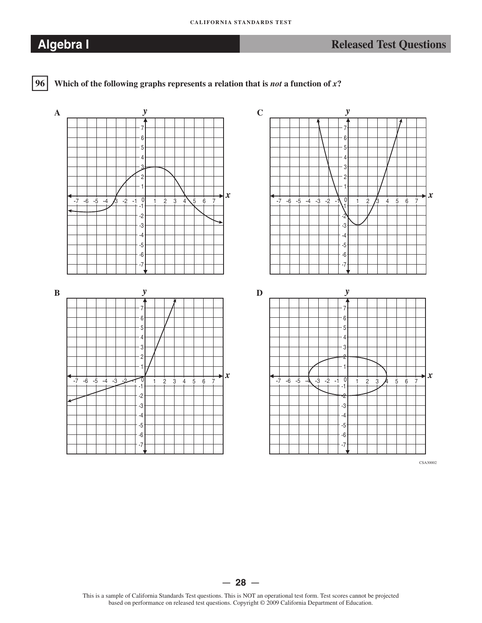

**96 Which of the following graphs represents a relation that is** *not* **a function of** *x***?** 



— **28** —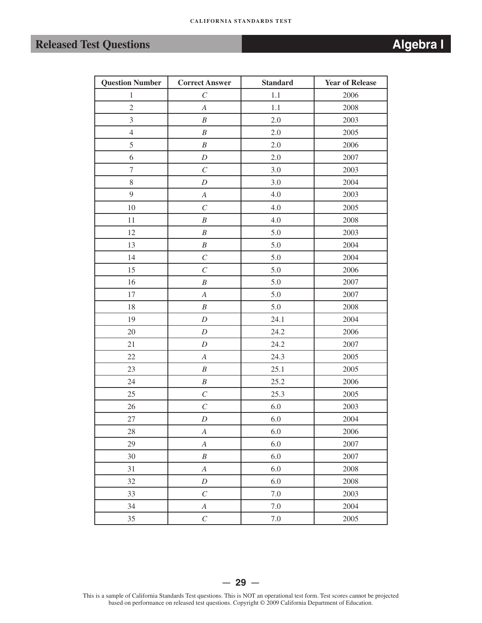| <b>Question Number</b> | <b>Correct Answer</b> | <b>Standard</b> | <b>Year of Release</b> |
|------------------------|-----------------------|-----------------|------------------------|
| $\mathbf{1}$           | $\cal C$              | $1.1\,$         | 2006                   |
| $\overline{2}$         | $\boldsymbol{A}$      | $1.1\,$         | 2008                   |
| $\mathfrak{Z}$         | $\boldsymbol{B}$      | $2.0\,$         | 2003                   |
| $\overline{4}$         | $\boldsymbol{B}$      | 2.0             | 2005                   |
| $\mathfrak{S}$         | $\boldsymbol{B}$      | $2.0\,$         | 2006                   |
| 6                      | $\boldsymbol{D}$      | $2.0\,$         | 2007                   |
| $\boldsymbol{7}$       | $\cal C$              | 3.0             | 2003                   |
| 8                      | $\boldsymbol{D}$      | 3.0             | 2004                   |
| 9                      | $\boldsymbol{A}$      | $4.0\,$         | 2003                   |
| 10                     | $\cal C$              | 4.0             | 2005                   |
| 11                     | $\boldsymbol{B}$      | 4.0             | 2008                   |
| 12                     | $\boldsymbol{B}$      | 5.0             | 2003                   |
| 13                     | $\boldsymbol{B}$      | 5.0             | 2004                   |
| 14                     | $\overline{C}$        | 5.0             | 2004                   |
| 15                     | $\cal C$              | 5.0             | 2006                   |
| 16                     | $\boldsymbol{B}$      | 5.0             | 2007                   |
| 17                     | $\boldsymbol{A}$      | 5.0             | 2007                   |
| 18                     | $\cal B$              | 5.0             | 2008                   |
| 19                     | $\boldsymbol{D}$      | 24.1            | 2004                   |
| 20                     | $\boldsymbol{D}$      | 24.2            | 2006                   |
| 21                     | $\boldsymbol{D}$      | 24.2            | 2007                   |
| $22\,$                 | $\boldsymbol{A}$      | 24.3            | 2005                   |
| 23                     | $\boldsymbol{B}$      | 25.1            | 2005                   |
| 24                     | $\boldsymbol{B}$      | 25.2            | 2006                   |
| 25                     | $\cal C$              | 25.3            | 2005                   |
| 26                     | $\cal C$              | 6.0             | 2003                   |
| 27                     | $\cal D$              | $6.0\,$         | 2004                   |
| 28                     | $\boldsymbol{A}$      | 6.0             | 2006                   |
| 29                     | $\boldsymbol{A}$      | 6.0             | 2007                   |
| 30                     | $\boldsymbol{B}$      | 6.0             | 2007                   |
| 31                     | $\boldsymbol{A}$      | 6.0             | 2008                   |
| 32                     | $\boldsymbol{D}$      | 6.0             | 2008                   |
| 33                     | $\cal C$              | $7.0\,$         | 2003                   |
| 34                     | $\boldsymbol{A}$      | $7.0\,$         | 2004                   |
| 35                     | $\cal C$              | $7.0\,$         | 2005                   |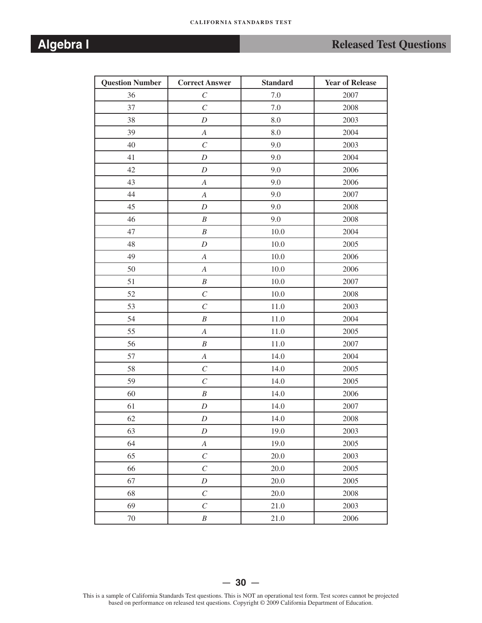# **Algebra I** *Released Test Questions Released Test Questions*

| <b>Question Number</b> | <b>Correct Answer</b> | <b>Standard</b> | <b>Year of Release</b> |
|------------------------|-----------------------|-----------------|------------------------|
| 36                     | $\cal C$              | $7.0\,$         | 2007                   |
| 37                     | $\overline{C}$        | $7.0\,$         | 2008                   |
| 38                     | $\boldsymbol{D}$      | 8.0             | 2003                   |
| 39                     | $\boldsymbol{A}$      | $8.0\,$         | 2004                   |
| 40                     | $\cal C$              | 9.0             | 2003                   |
| 41                     | $\boldsymbol{D}$      | 9.0             | 2004                   |
| 42                     | $\boldsymbol{D}$      | 9.0             | 2006                   |
| 43                     | $\boldsymbol{A}$      | 9.0             | 2006                   |
| 44                     | $\boldsymbol{A}$      | 9.0             | 2007                   |
| 45                     | $\boldsymbol{D}$      | 9.0             | 2008                   |
| 46                     | $\boldsymbol{B}$      | 9.0             | 2008                   |
| 47                     | $\boldsymbol{B}$      | 10.0            | 2004                   |
| 48                     | $\boldsymbol{D}$      | 10.0            | 2005                   |
| 49                     | $\boldsymbol{A}$      | 10.0            | 2006                   |
| 50                     | $\boldsymbol{A}$      | 10.0            | 2006                   |
| 51                     | $\cal B$              | 10.0            | 2007                   |
| 52                     | $\cal C$              | 10.0            | 2008                   |
| 53                     | $\overline{C}$        | 11.0            | 2003                   |
| 54                     | $\cal B$              | 11.0            | 2004                   |
| 55                     | $\boldsymbol{A}$      | 11.0            | 2005                   |
| 56                     | $\boldsymbol{B}$      | 11.0            | 2007                   |
| 57                     | $\boldsymbol{A}$      | 14.0            | 2004                   |
| 58                     | $\cal C$              | 14.0            | 2005                   |
| 59                     | $\mathcal{C}_{0}^{0}$ | 14.0            | 2005                   |
| 60                     | $\boldsymbol{B}$      | 14.0            | 2006                   |
| 61                     | $\boldsymbol{D}$      | 14.0            | 2007                   |
| 62                     | $\boldsymbol{D}$      | 14.0            | 2008                   |
| 63                     | D                     | 19.0            | 2003                   |
| 64                     | $\boldsymbol{A}$      | 19.0            | 2005                   |
| 65                     | $\cal C$              | 20.0            | 2003                   |
| 66                     | $\cal C$              | 20.0            | 2005                   |
| 67                     | $\boldsymbol{D}$      | 20.0            | 2005                   |
| 68                     | $\cal C$              | 20.0            | 2008                   |
| 69                     | $\cal C$              | 21.0            | 2003                   |
| $70\,$                 | $\boldsymbol{B}$      | 21.0            | 2006                   |

This is a sample of California Standards Test questions. This is NOT an operational test form. Test scores cannot be projected based on performance on released test questions. Copyright © 2009 California Department of Education.

 $-30 -$